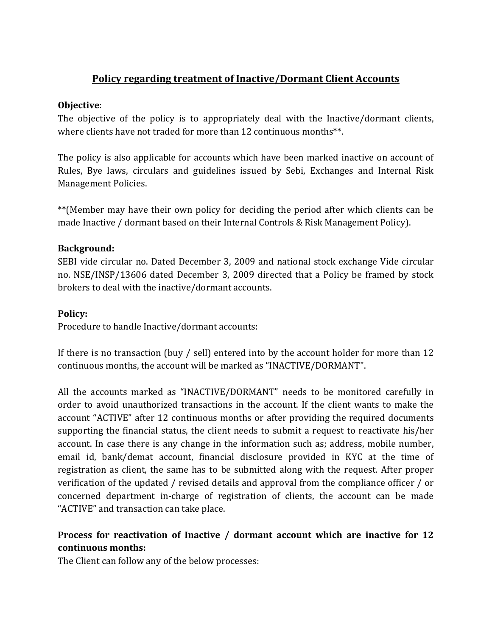# **Policy regarding treatment of Inactive/Dormant Client Accounts**

## **Objective**:

The objective of the policy is to appropriately deal with the Inactive/dormant clients, where clients have not traded for more than 12 continuous months<sup>\*\*</sup>.

The policy is also applicable for accounts which have been marked inactive on account of Rules, Bye laws, circulars and guidelines issued by Sebi, Exchanges and Internal Risk Management Policies.

\*\*(Member may have their own policy for deciding the period after which clients can be made Inactive / dormant based on their Internal Controls & Risk Management Policy).

## **Background:**

SEBI vide circular no. Dated December 3, 2009 and national stock exchange Vide circular no. NSE/INSP/13606 dated December 3, 2009 directed that a Policy be framed by stock brokers to deal with the inactive/dormant accounts.

## **Policy:**

Procedure to handle Inactive/dormant accounts:

If there is no transaction (buy / sell) entered into by the account holder for more than 12 continuous months, the account will be marked as "INACTIVE/DORMANT".

All the accounts marked as "INACTIVE/DORMANT" needs to be monitored carefully in order to avoid unauthorized transactions in the account. If the client wants to make the account "ACTIVE" after 12 continuous months or after providing the required documents supporting the financial status, the client needs to submit a request to reactivate his/her account. In case there is any change in the information such as; address, mobile number, email id, bank/demat account, financial disclosure provided in KYC at the time of registration as client, the same has to be submitted along with the request. After proper verification of the updated / revised details and approval from the compliance officer / or concerned department in‐charge of registration of clients, the account can be made "ACTIVE" and transaction can take place.

# **Process for reactivation of Inactive / dormant account which are inactive for 12 continuous months:**

The Client can follow any of the below processes: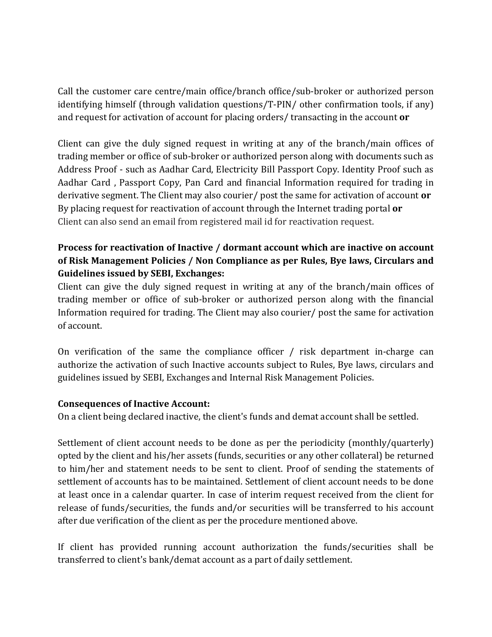Call the customer care centre/main office/branch office/sub‐broker or authorized person identifying himself (through validation questions/T‐PIN/ other confirmation tools, if any) and request for activation of account for placing orders/ transacting in the account **or**

Client can give the duly signed request in writing at any of the branch/main offices of trading member or office of sub‐broker or authorized person along with documents such as Address Proof ‐ such as Aadhar Card, Electricity Bill Passport Copy. Identity Proof such as Aadhar Card , Passport Copy, Pan Card and financial Information required for trading in derivative segment. The Client may also courier/ post the same for activation of account **or** By placing request for reactivation of account through the Internet trading portal **or** Client can also send an email from registered mail id for reactivation request.

# **Process for reactivation of Inactive / dormant account which are inactive on account of Risk Management Policies / Non Compliance as per Rules, Bye laws, Circulars and Guidelines issued by SEBI, Exchanges:**

Client can give the duly signed request in writing at any of the branch/main offices of trading member or office of sub‐broker or authorized person along with the financial Information required for trading. The Client may also courier/ post the same for activation of account.

On verification of the same the compliance officer / risk department in-charge can authorize the activation of such Inactive accounts subject to Rules, Bye laws, circulars and guidelines issued by SEBI, Exchanges and Internal Risk Management Policies.

## **Consequences of Inactive Account:**

On a client being declared inactive, the client's funds and demat account shall be settled.

Settlement of client account needs to be done as per the periodicity (monthly/quarterly) opted by the client and his/her assets (funds, securities or any other collateral) be returned to him/her and statement needs to be sent to client. Proof of sending the statements of settlement of accounts has to be maintained. Settlement of client account needs to be done at least once in a calendar quarter. In case of interim request received from the client for release of funds/securities, the funds and/or securities will be transferred to his account after due verification of the client as per the procedure mentioned above.

If client has provided running account authorization the funds/securities shall be transferred to client's bank/demat account as a part of daily settlement.